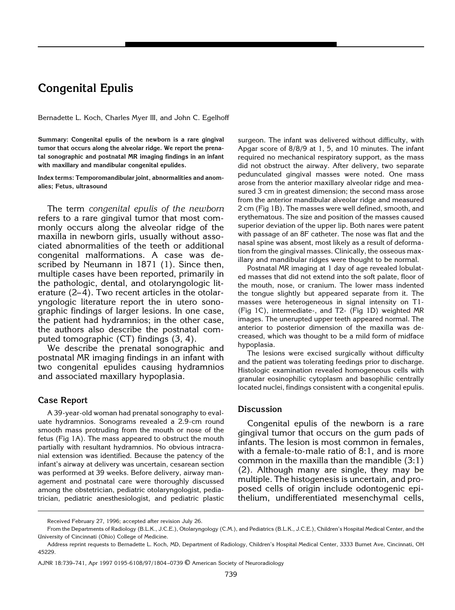## **Congenital Epulis**

Bernadette L. Koch, Charles Myer III, and John C. Egelhoff

**Summary: Congenital epulis of the newborn is a rare gingival tumor that occurs along the alveolar ridge. We report the prenatal sonographic and postnatal MR imaging findings in an infant with maxillary and mandibular congenital epulides.**

**Index terms: Temporomandibular joint, abnormalities and anomalies; Fetus, ultrasound**

The term *congenital epulis of the newborn* refers to a rare gingival tumor that most commonly occurs along the alveolar ridge of the maxilla in newborn girls, usually without associated abnormalities of the teeth or additional congenital malformations. A case was described by Neumann in 1871 (1). Since then, multiple cases have been reported, primarily in the pathologic, dental, and otolaryngologic literature (2–4). Two recent articles in the otolaryngologic literature report the in utero sonographic findings of larger lesions. In one case, the patient had hydramnios; in the other case, the authors also describe the postnatal computed tomographic (CT) findings (3, 4).

We describe the prenatal sonographic and postnatal MR imaging findings in an infant with two congenital epulides causing hydramnios and associated maxillary hypoplasia.

## **Case Report**

A 39-year-old woman had prenatal sonography to evaluate hydramnios. Sonograms revealed a 2.9-cm round smooth mass protruding from the mouth or nose of the fetus (Fig 1A). The mass appeared to obstruct the mouth partially with resultant hydramnios. No obvious intracranial extension was identified. Because the patency of the infant's airway at delivery was uncertain, cesarean section was performed at 39 weeks. Before delivery, airway management and postnatal care were thoroughly discussed among the obstetrician, pediatric otolaryngologist, pediatrician, pediatric anesthesiologist, and pediatric plastic surgeon. The infant was delivered without difficulty, with Apgar score of 8/8/9 at 1, 5, and 10 minutes. The infant required no mechanical respiratory support, as the mass did not obstruct the airway. After delivery, two separate pedunculated gingival masses were noted. One mass arose from the anterior maxillary alveolar ridge and measured 3 cm in greatest dimension; the second mass arose from the anterior mandibular alveolar ridge and measured 2 cm (Fig 1B). The masses were well defined, smooth, and erythematous. The size and position of the masses caused superior deviation of the upper lip. Both nares were patent with passage of an 8F catheter. The nose was flat and the nasal spine was absent, most likely as a result of deformation from the gingival masses. Clinically, the osseous maxillary and mandibular ridges were thought to be normal.

Postnatal MR imaging at 1 day of age revealed lobulated masses that did not extend into the soft palate, floor of the mouth, nose, or cranium. The lower mass indented the tongue slightly but appeared separate from it. The masses were heterogeneous in signal intensity on T1- (Fig 1C), intermediate-, and T2- (Fig 1D) weighted MR images. The unerupted upper teeth appeared normal. The anterior to posterior dimension of the maxilla was decreased, which was thought to be a mild form of midface hypoplasia.

The lesions were excised surgically without difficulty and the patient was tolerating feedings prior to discharge. Histologic examination revealed homogeneous cells with granular eosinophilic cytoplasm and basophilic centrally located nuclei, findings consistent with a congenital epulis.

## **Discussion**

Congenital epulis of the newborn is a rare gingival tumor that occurs on the gum pads of infants. The lesion is most common in females, with a female-to-male ratio of 8:1, and is more common in the maxilla than the mandible (3:1) (2). Although many are single, they may be multiple. The histogenesis is uncertain, and proposed cells of origin include odontogenic epithelium, undifferentiated mesenchymal cells,

Received February 27, 1996; accepted after revision July 26.

From the Departments of Radiology (B.L.K., J.C.E.), Otolaryngology (C.M.), and Pediatrics (B.L.K., J.C.E.), Children's Hospital Medical Center, and the University of Cincinnati (Ohio) College of Medicine.

Address reprint requests to Bernadette L. Koch, MD, Department of Radiology, Children's Hospital Medical Center, 3333 Burnet Ave, Cincinnati, OH 45229.

AJNR 18:739–741, Apr 1997 0195-6108/97/1804–0739 © American Society of Neuroradiology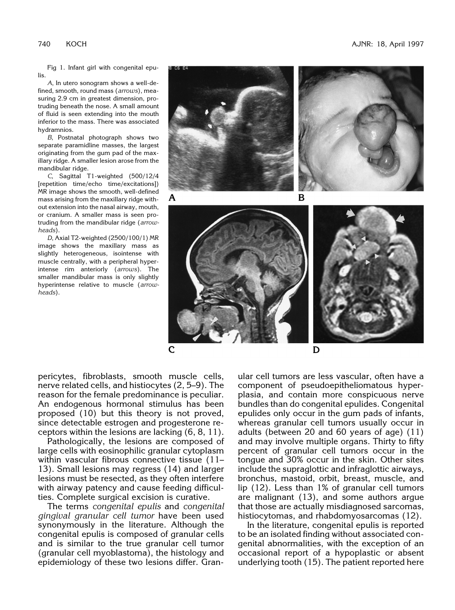Fig 1. Infant girl with congenital epulis.

*A*, In utero sonogram shows a well-defined, smooth, round mass (*arrows*), measuring 2.9 cm in greatest dimension, protruding beneath the nose. A small amount of fluid is seen extending into the mouth inferior to the mass. There was associated hydramnios.

*B*, Postnatal photograph shows two separate paramidline masses, the largest originating from the gum pad of the maxillary ridge. A smaller lesion arose from the mandibular ridge.

*C*, Sagittal T1-weighted (500/12/4 [repetition time/echo time/excitations]) MR image shows the smooth, well-defined mass arising from the maxillary ridge without extension into the nasal airway, mouth, or cranium. A smaller mass is seen protruding from the mandibular ridge (*arrowheads*).

*D*, Axial T2-weighted (2500/100/1) MR image shows the maxillary mass as slightly heterogeneous, isointense with muscle centrally, with a peripheral hyperintense rim anteriorly (*arrows*). The smaller mandibular mass is only slightly hyperintense relative to muscle (*arrowheads*).



pericytes, fibroblasts, smooth muscle cells, nerve related cells, and histiocytes (2, 5–9). The reason for the female predominance is peculiar. An endogenous hormonal stimulus has been proposed (10) but this theory is not proved, since detectable estrogen and progesterone receptors within the lesions are lacking (6, 8, 11).

Pathologically, the lesions are composed of large cells with eosinophilic granular cytoplasm within vascular fibrous connective tissue (11– 13). Small lesions may regress (14) and larger lesions must be resected, as they often interfere with airway patency and cause feeding difficulties. Complete surgical excision is curative.

The terms *congenital epulis* and *congenital gingival granular cell tumor* have been used synonymously in the literature. Although the congenital epulis is composed of granular cells and is similar to the true granular cell tumor (granular cell myoblastoma), the histology and epidemiology of these two lesions differ. Gran-

ular cell tumors are less vascular, often have a component of pseudoepitheliomatous hyperplasia, and contain more conspicuous nerve bundles than do congenital epulides. Congenital epulides only occur in the gum pads of infants, whereas granular cell tumors usually occur in adults (between 20 and 60 years of age) (11) and may involve multiple organs. Thirty to fifty percent of granular cell tumors occur in the tongue and 30% occur in the skin. Other sites include the supraglottic and infraglottic airways, bronchus, mastoid, orbit, breast, muscle, and lip (12). Less than 1% of granular cell tumors are malignant (13), and some authors argue that those are actually misdiagnosed sarcomas, histiocytomas, and rhabdomyosarcomas (12).

In the literature, congenital epulis is reported to be an isolated finding without associated congenital abnormalities, with the exception of an occasional report of a hypoplastic or absent underlying tooth (15). The patient reported here